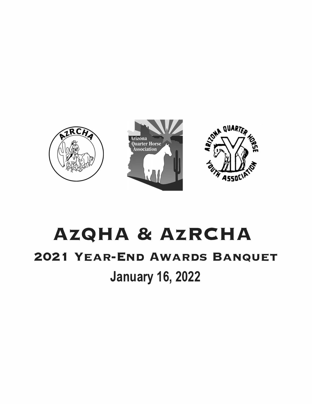

# **AZQHA & AZRCHA 2021 YEAR-END AWARDS BANQUET**

January 16, 2022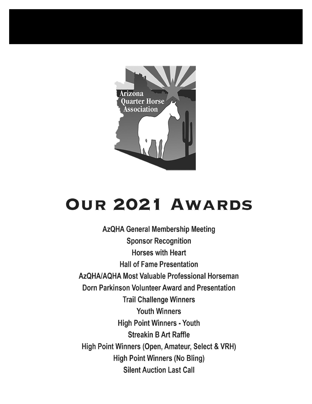

# **OUR 2021 AWARDS**

**AzQHA General Membership Meeting Sponsor Recognition Horses with Heart Hall of Fame Presentation** AzQHA/AQHA Most Valuable Professional Horseman Dorn Parkinson Volunteer Award and Presentation **Trail Challenge Winners Youth Winners High Point Winners - Youth Streakin B Art Raffle** High Point Winners (Open, Amateur, Select & VRH) **High Point Winners (No Bling) Silent Auction Last Call**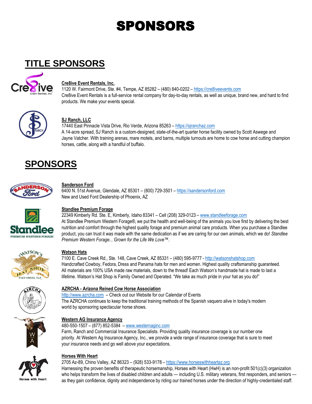## SPONSORS

## **TITLE SPONSORS**



#### **Cre8ive Event Rentals, Inc.**

1120 W. Fairmont Drive, Ste. #4, Tempe, AZ 85282 – (480) 840-0202 – [https://cre8iveevents.com](https://cre8iveevents.com/) Cre8ive Event Rentals is a full-service rental company for day-to-day rentals, as well as unique, brand new, and hard to find products. We make your events special.



#### **SJ Ranch, LLC**

17440 East Pinnacle Vista Drive, Rio Verde, Arizona 85263 - [https://sjranchaz.com](https://sjranchaz.com/) A 14-acre spread, SJ Ranch is a custom-designed, state-of-the-art quarter horse facility owned by Scott Aswege and Jayne Vatcher. With training arenas, mare motels, and barns, multiple turnouts are home to cow horse and cutting champion horses, cattle, along with a handful of buffalo.

## **SPONSORS**



#### **Sanderson Ford**

6400 N. 51st Avenue, Glendale, AZ 85301 – (800) 729-3501 – [https://sandersonford.com](https://sandersonford.com/) New and Used Ford Dealership of Phoenix, AZ



#### **Standlee Premium Forage**

22349 Kimberly Rd. Ste. E, Kimberly, Idaho 83341 – Cell (208) 329-0123 – [www.standleeforage.com](http://www.standleeforage.com/) At Standlee Premium Western Forage®, we put the health and well-being of the animals you love first by delivering the best nutrition and comfort through the highest quality forage and premium animal care products. When you purchase a Standlee product, you can trust it was made with the same dedication as if we are caring for our own animals, which we do! *Standlee Premium Western Forage... Grown for the Life We Love™.* 



#### **Watson Hats**

7100 E. Cave Creek Rd., Ste. 148, Cave Creek, AZ 85331 – (480) 595-9777 - [http://watsonshatshop.com](http://watsonshatshop.com/) Handcrafted Cowboy, Fedora, Dress and Panama hats for men and women. Highest quality craftsmanship guaranteed. All materials are 100% USA made raw materials, down to the thread! Each Watson's handmade hat is made to last a lifetime. Watson's Hat Shop is Family Owned and Operated. "We take as much pride in your hat as you do!"



#### **AZRCHA - Arizona Reined Cow Horse Association**

[http://www.azrcha.com](http://www.azrcha.com/) – Check out our Website for our Calendar of Events The AZRCHA continues to keep the traditional training methods of the Spanish vaquero alive in today's modern world by sponsoring spectacular horse shows.

#### **Western AG Insurance Agency**

480-550-1507 – (877) 852-5384 – [www.westernaginc.com](http://www.westernaginc.com/)

Farm, Ranch and Commercial Insurance Specialists. Providing quality insurance coverage is our number one priority. At Western Ag Insurance Agency, Inc., we provide a wide range of insurance coverage that is sure to meet your insurance needs and go well above your expectations.



#### **Horses With Heart**

2705 Az-89, Chino Valley, AZ 86323 – (928) 533-9178 – [https://www.horseswithheartaz.org](https://www.horseswithheartaz.org/)

Harnessing the proven benefits of therapeutic horsemanship, Horses with Heart (HwH) is an non-profit 501(c)(3) organization who helps transform the lives of disabled children and adults — including U.S. military veterans, first responders, and seniors as they gain confidence, dignity and independence by riding our trained horses under the direction of highly-credentialed staff.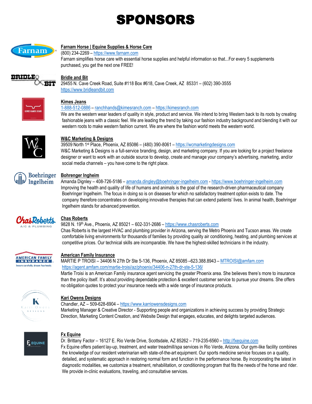## SPONSORS



#### **Farnam Horse | Equine Supplies & Horse Care**

(800) 234-2269 – [https://www.farnam.com](https://www.farnam.com/) Farnam simplifies horse care with essential horse supplies and helpful information so that...For every 5 supplements

purchased, you get the next one FREE!



#### **Bridle and Bit**

29455 N. Cave Creek Road, Suite #118 Box #618, Cave Creek, AZ 85331 – (602) 390-3555 [https://www.bridleandbit.com](https://www.bridleandbit.com/)



#### **Kimes Jeans**

[1-888-512-0886](tel:1-888-512-0886) – [ranchhands@kimesranch.com](mailto:ranchhands@kimesranch.com) – [https://kimesranch.com](https://kimesranch.com/)

We are the western wear leaders of quality in style, product and service. We intend to bring Western back to its roots by creating fashionable jeans with a classic feel. We are leading the trend by taking our fashion industry background and blending it with our western roots to make western fashion current. We are where the fashion world meets the western world.



#### **W&C Marketing & Designs**

39509 North 1<sup>st</sup> Place, Phoenix, AZ 85086 - (480) 390-8061 - [https://wcmarketingdesigns.com](https://wcmarketingdesigns.com/) W&C Marketing & Designs is a full-service branding, design, and marketing company. If you are looking for a project freelance designer or want to work with an outside source to develop, create and manage your company's advertising, marketing, and/or social media channels – you have come to the right place.



#### **Bohrenger Ingheim**

Amanda Dignley – 408-726-5186 – [amanda.dingley@boehringer-ingelheim.com](mailto:amanda.dingley@boehringer-ingelheim.com) - [https://www.boehringer-ingelheim.com](https://www.boehringer-ingelheim.com/) Improving the health and quality of life of humans and animals is the goal of the research-driven pharmaceutical company Boehringer Ingelheim. The focus in doing so is on diseases for which no satisfactory treatment option exists to date. The company therefore concentrates on developing innovative therapies that can extend patients' lives. In animal health, Boehringer Ingelheim stands for advanced prevention.



#### **Chas Roberts**

9828 N. 19<sup>th</sup> Ave., Phoenix, AZ 85021 - 602-331-2686 - [https://www.chasroberts.com](https://www.chasroberts.com/) Chas Roberts is the largest HVAC and plumbing provider in Arizona, serving the Metro Phoenix and Tucson areas. We create comfortable living environments for thousands of families by providing quality air conditioning, heating, and plumbing services at competitive prices. Our technical skills are incomparable. We have the highest-skilled technicians in the industry.



#### **American Family Insurance**

MARTIE P TROISI – 34406 N 27th Dr Ste 5-136, Phoenix, AZ 85085 –623.388.8943 – [MTROISI@amfam.com](mailto:MTROISI@amfam.com) <https://agent.amfam.com/martie-troisi/az/phoenix/34406-n-27th-dr-ste-5-136/>

Martie Troisi is an American Family insurance agent servicing the greater Phoenix area. She believes there's more to insurance than the policy itself. It's about providing dependable protection & excellent customer service to pursue your dreams. She offers no obligation quotes to protect your insurance needs with a wide range of insurance products.



#### **Kari Owens Designs**

Chandler, AZ – 509-628-6904 – [https://www.karriowensdesigns.com](https://www.karriowensdesigns.com/)

Marketing Manager & Creative Director - Supporting people and organizations in achieving success by providing Strategic Direction, Marketing Content Creation, and Website Design that engages, educates, and delights targeted audiences.



#### **Fx Equine**

Dr. Brittany Factor – 16127 E. Rio Verde Drive, Scottsdale, AZ 85262 – 719-235-6560 – [http://fxequine.com](http://fxequine.com/) Fx Equine offers patient lay-up, treatment, and water treadmill/spa services in Rio Verde, Arizona. Our gym-like facility combines the knowledge of our resident veterinarian with state-of-the-art equipment. Our sports medicine service focuses on a quality, detailed, and systematic approach in restoring normal form and function in the performance horse. By incorporating the latest in diagnostic modalities, we customize a treatment, rehabilitation, or conditioning program that fits the needs of the horse and rider. We provide in-clinic evaluations, traveling, and consultative services.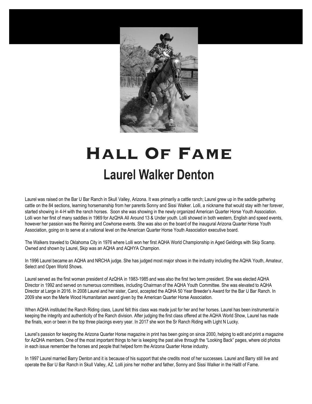

# **HALL OF FAME Laurel Walker Denton**

Laurel was raised on the Bar U Bar Ranch in Skull Valley, Arizona. It was primarily a cattle ranch; Laurel grew up in the saddle gathering cattle on the 84 sections, learning horsemanship from her parents Sonny and Sissi Walker. Lolli, a nickname that would stay with her forever, started showing in 4-H with the ranch horses. Soon she was showing in the newly organized American Quarter Horse Youth Association. Lolli won her first of many saddles in 1969 for AzQHA All Around 13 & Under youth. Lolli showed in both western, English and speed events, however her passion was the Reining and Cowhorse events. She was also on the board of the inaugural Arizona Quarter Horse Youth Association, going on to serve at a national level on the American Quarter Horse Youth Association executive board.

The Walkers traveled to Oklahoma City in 1976 where Lolli won her first AQHA World Championship in Aged Geldings with Skip Scamp. Owned and shown by Laurel, Skip was an AQHA and AQHYA Champion.

In 1996 Laurel became an AQHA and NRCHA judge. She has judged most major shows in the industry including the AQHA Youth, Amateur, Select and Open World Shows.

Laurel served as the first woman president of AzQHA in 1983-1985 and was also the first two term president. She was elected AQHA Director in 1992 and served on numerous committees, including Chairman of the AQHA Youth Committee. She was elevated to AQHA Director at Large in 2016. In 2008 Laurel and her sister, Carol, accepted the AQHA 50 Year Breeder's Award for the Bar U Bar Ranch. In 2009 she won the Merle Wood Humanitarian award given by the American Quarter Horse Association.

When AQHA instituted the Ranch Riding class, Laurel felt this class was made just for her and her horses. Laurel has been instrumental in keeping the integrity and authenticity of the Ranch division. After judging the first class offered at the AQHA World Show, Laurel has made the finals, won or been in the top three placings every year. In 2017 she won the Sr Ranch Riding with Light N Lucky.

Laurel's passion for keeping the Arizona Quarter Horse magazine in print has been going on since 2000, helping to edit and print a magazine for AzQHA members. One of the most important things to her is keeping the past alive through the "Looking Back" pages, where old photos in each issue remember the horses and people that helped form the Arizona Quarter Horse industry.

In 1997 Laurel married Barry Denton and it is because of his support that she credits most of her successes. Laurel and Barry still live and operate the Bar U Bar Ranch in Skull Valley, AZ. Lolli joins her mother and father, Sonny and Sissi Walker in the Hallll of Fame.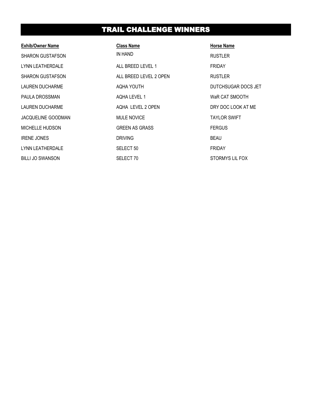### TRAIL CHALLENGE WINNERS

| <b>Exhib/Owner Name</b>   | <b>Class Name</b>      | <b>Horse Name</b>   |
|---------------------------|------------------------|---------------------|
| <b>SHARON GUSTAFSON</b>   | IN HAND                | <b>RUSTLER</b>      |
| LYNN LEATHERDALE          | ALL BREED LEVEL 1      | <b>FRIDAY</b>       |
| <b>SHARON GUSTAFSON</b>   | ALL BREED LEVEL 2 OPEN | <b>RUSTLER</b>      |
| <b>LAUREN DUCHARME</b>    | <b>AOHA YOUTH</b>      | DUTCHSUGAR DOCS JET |
| PAULA DROSSMAN            | AOHA LEVEL 1           | WaR CAT SMOOTH      |
| <b>LAUREN DUCHARME</b>    | AOHA LEVEL 2 OPEN      | DRY DOC LOOK AT ME  |
| <b>JACQUELINE GOODMAN</b> | <b>MULE NOVICE</b>     | <b>TAYLOR SWIFT</b> |
| <b>MICHELLE HUDSON</b>    | <b>GREEN AS GRASS</b>  | <b>FERGUS</b>       |
| <b>IRENE JONES</b>        | <b>DRIVING</b>         | <b>BEAU</b>         |
| <b>LYNN LEATHERDALE</b>   | SELECT <sub>50</sub>   | <b>FRIDAY</b>       |
| <b>BILLI JO SWANSON</b>   | SELECT 70              | STORMYS LIL FOX     |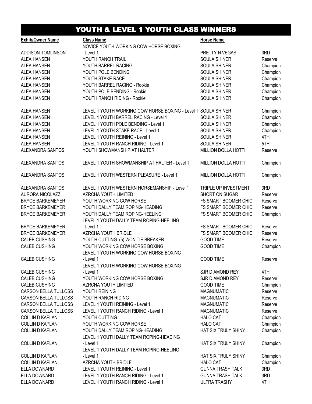## YOUTH & LEVEL 1 YOUTH CLASS WINNERS

| <b>Exhib/Owner Name</b>     | <b>Class Name</b>                                                          | <b>Horse Name</b>          |          |
|-----------------------------|----------------------------------------------------------------------------|----------------------------|----------|
|                             | NOVICE YOUTH WORKING COW HORSE BOXING                                      |                            |          |
| ADDISON TOMLINSON           | - Level 1                                                                  | PRETTY N VEGAS             | 3RD      |
| <b>ALEA HANSEN</b>          | YOUTH RANCH TRAIL                                                          | <b>SOULA SHINER</b>        | Reserve  |
| <b>ALEA HANSEN</b>          | YOUTH BARREL RACING                                                        | <b>SOULA SHINER</b>        | Champion |
| <b>ALEA HANSEN</b>          | YOUTH POLE BENDING                                                         | <b>SOULA SHINER</b>        | Champion |
| <b>ALEA HANSEN</b>          | YOUTH STAKE RACE                                                           | <b>SOULA SHINER</b>        | Champion |
| <b>ALEA HANSEN</b>          | YOUTH BARREL RACING - Rookie                                               | <b>SOULA SHINER</b>        | Champion |
| <b>ALEA HANSEN</b>          | YOUTH POLE BENDING - Rookie                                                | <b>SOULA SHINER</b>        | Champion |
| <b>ALEA HANSEN</b>          | YOUTH RANCH RIDING - Rookie                                                | <b>SOULA SHINER</b>        | Champion |
| <b>ALEA HANSEN</b>          | LEVEL 1 YOUTH WORKING COW HORSE BOXING - Level 1 SOULA SHINER              |                            | Champion |
| <b>ALEA HANSEN</b>          | LEVEL 1 YOUTH BARREL RACING - Level 1                                      | <b>SOULA SHINER</b>        | Champion |
| <b>ALEA HANSEN</b>          | LEVEL 1 YOUTH POLE BENDING - Level 1                                       | <b>SOULA SHINER</b>        | Champion |
| <b>ALEA HANSEN</b>          | LEVEL 1 YOUTH STAKE RACE - Level 1                                         | <b>SOULA SHINER</b>        | Champion |
| <b>ALEA HANSEN</b>          | LEVEL 1 YOUTH REINING - Level 1                                            | <b>SOULA SHINER</b>        | 4TH      |
| <b>ALEA HANSEN</b>          | LEVEL 1 YOUTH RANCH RIDING - Level 1                                       | SOULA SHINER               | 5TH      |
| ALEXANDRA SANTOS            | YOUTH SHOWMANSHIP AT HALTER                                                | <b>MILLION DOLLA HOTTI</b> | Reserve  |
| ALEXANDRA SANTOS            | LEVEL 1 YOUTH SHOWMANSHIP AT HALTER - Level 1                              | <b>MILLION DOLLA HOTTI</b> | Champion |
| ALEXANDRA SANTOS            | LEVEL 1 YOUTH WESTERN PLEASURE - Level 1                                   | <b>MILLION DOLLA HOTTI</b> | Champion |
| ALEXANDRA SANTOS            | LEVEL 1 YOUTH WESTERN HORSEMANSHIP - Level 1                               | TRIPLE UP INVESTMENT       | 3RD      |
| AURORA NICOLAZZI            | <b>AZRCHA YOUTH LIMITED</b>                                                | SHORT ON SUGAR             | Reserve  |
| <b>BRYCE BARKEMEYER</b>     | YOUTH WORKING COW HORSE                                                    | FS SMART BOOMER CHIC       | Reserve  |
| <b>BRYCE BARKEMEYER</b>     | YOUTH DALLY TEAM ROPING-HEADING                                            | FS SMART BOOMER CHIC       | Reserve  |
| <b>BRYCE BARKEMEYER</b>     | YOUTH DALLY TEAM ROPING-HEELING<br>LEVEL 1 YOUTH DALLY TEAM ROPING-HEELING | FS SMART BOOMER CHIC       | Champion |
| <b>BRYCE BARKEMEYER</b>     | - Level 1                                                                  | FS SMART BOOMER CHIC       | Reserve  |
| <b>BRYCE BARKEMEYER</b>     | <b>AZRCHA YOUTH BRIDLE</b>                                                 | FS SMART BOOMER CHIC       | Reserve  |
| <b>CALEB CUSHING</b>        | YOUTH CUTTING (5) WON TIE BREAKER                                          | <b>GOOD TIME</b>           | Reserve  |
| <b>CALEB CUSHING</b>        | YOUTH WORKING COW HORSE BOXING                                             | <b>GOOD TIME</b>           | Champion |
|                             | LEVEL 1 YOUTH WORKING COW HORSE BOXING                                     |                            |          |
| <b>CALEB CUSHING</b>        | - Level 1                                                                  | <b>GOOD TIME</b>           | Reserve  |
|                             | LEVEL 1 YOUTH WORKING COW HORSE BOXING                                     |                            |          |
| <b>CALEB CUSHING</b>        | - Level 1                                                                  | <b>SJR DIAMOND REY</b>     | 4TH      |
| <b>CALEB CUSHING</b>        | YOUTH WORKING COW HORSE BOXING                                             | SJR DIAMOND REY            | Reserve  |
| <b>CALEB CUSHING</b>        | AZRCHA YOUTH LIMITED                                                       | <b>GOOD TIME</b>           | Champion |
| CARSON BELLA TULLOSS        | YOUTH REINING                                                              | <b>MAGNUMATIC</b>          | Reserve  |
| <b>CARSON BELLA TULLOSS</b> | YOUTH RANCH RIDING                                                         | <b>MAGNUMATIC</b>          | Reserve  |
| CARSON BELLA TULLOSS        | LEVEL 1 YOUTH REINING - Level 1                                            | <b>MAGNUMATIC</b>          | Reserve  |
| CARSON BELLA TULLOSS        | LEVEL 1 YOUTH RANCH RIDING - Level 1                                       | <b>MAGNUMATIC</b>          | Reserve  |
| COLLIN D KAPLAN             | YOUTH CUTTING                                                              | <b>HALO CAT</b>            | Champion |
| COLLIN D KAPLAN             | YOUTH WORKING COW HORSE                                                    | <b>HALO CAT</b>            | Champion |
| COLLIN D KAPLAN             | YOUTH DALLY TEAM ROPING-HEADING                                            | HAT SIX TRULY SHINY        | Champion |
|                             | LEVEL 1 YOUTH DALLY TEAM ROPING-HEADING                                    |                            |          |
| <b>COLLIN D KAPLAN</b>      | - Level 1                                                                  | HAT SIX TRULY SHINY        | Champion |
|                             | LEVEL 1 YOUTH DALLY TEAM ROPING-HEELING                                    |                            |          |
| <b>COLLIN D KAPLAN</b>      | - Level 1                                                                  | HAT SIX TRULY SHINY        | Champion |
| <b>COLLIN D KAPLAN</b>      | <b>AZRCHA YOUTH BRIDLE</b>                                                 | <b>HALO CAT</b>            | Champion |
| ELLA DOWNARD                | LEVEL 1 YOUTH REINING - Level 1                                            | <b>GUNNA TRASH TALK</b>    | 3RD      |
| ELLA DOWNARD                | LEVEL 1 YOUTH RANCH RIDING - Level 1                                       | <b>GUNNA TRASH TALK</b>    | 3RD      |
| ELLA DOWNARD                | LEVEL 1 YOUTH RANCH RIDING - Level 1                                       | <b>ULTRA TRASHY</b>        | 4TH      |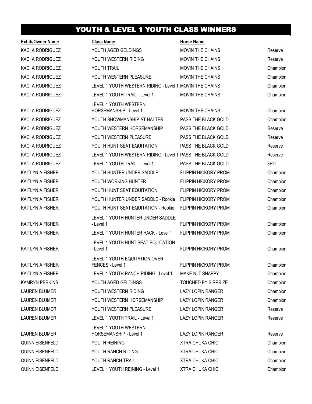## YOUTH & LEVEL 1 YOUTH CLASS WINNERS

| <b>Exhib/Owner Name</b> | <b>Class Name</b>                                          | <b>Horse Name</b>           |          |
|-------------------------|------------------------------------------------------------|-----------------------------|----------|
| KACI A RODRIGUEZ        | YOUTH AGED GELDINGS                                        | MOVIN THE CHAINS            | Reserve  |
| KACI A RODRIGUEZ        | YOUTH WESTERN RIDING                                       | MOVIN THE CHAINS            | Reserve  |
| KACI A RODRIGUEZ        | YOUTH TRAIL                                                | MOVIN THE CHAINS            | Champion |
| KACI A RODRIGUEZ        | YOUTH WESTERN PLEASURE                                     | MOVIN THE CHAINS            | Champion |
| KACI A RODRIGUEZ        | LEVEL 1 YOUTH WESTERN RIDING - Level 1 MOVIN THE CHAINS    |                             | Champion |
| KACI A RODRIGUEZ        | LEVEL 1 YOUTH TRAIL - Level 1                              | <b>MOVIN THE CHAINS</b>     | Champion |
| KACI A RODRIGUEZ        | <b>LEVEL 1 YOUTH WESTERN</b><br>HORSEMANSHIP - Level 1     | <b>MOVIN THE CHAINS</b>     | Champion |
| KACI A RODRIGUEZ        | YOUTH SHOWMANSHIP AT HALTER                                | PASS THE BLACK GOLD         | Champion |
| KACI A RODRIGUEZ        | YOUTH WESTERN HORSEMANSHIP                                 | PASS THE BLACK GOLD         | Reserve  |
| KACI A RODRIGUEZ        | YOUTH WESTERN PLEASURE                                     | PASS THE BLACK GOLD         | Reserve  |
| KACI A RODRIGUEZ        | YOUTH HUNT SEAT EQUITATION                                 | PASS THE BLACK GOLD         | Reserve  |
| <b>KACI A RODRIGUEZ</b> | LEVEL 1 YOUTH WESTERN RIDING - Level 1 PASS THE BLACK GOLD |                             | Reserve  |
| KACI A RODRIGUEZ        | LEVEL 1 YOUTH TRAIL - Level 1                              | PASS THE BLACK GOLD         | 3RD      |
| KAITLYN A FISHER        | YOUTH HUNTER UNDER SADDLE                                  | <b>FLIPPIN HICKORY PROM</b> | Champion |
| KAITLYN A FISHER        | YOUTH WORKING HUNTER                                       | FLIPPIN HICKORY PROM        | Champion |
| KAITLYN A FISHER        | YOUTH HUNT SEAT EQUITATION                                 | <b>FLIPPIN HICKORY PROM</b> | Champion |
| KAITLYN A FISHER        | YOUTH HUNTER UNDER SADDLE - Rookie                         | FLIPPIN HICKORY PROM        | Champion |
| KAITLYN A FISHER        | YOUTH HUNT SEAT EQUITATION - Rookie                        | <b>FLIPPIN HICKORY PROM</b> | Champion |
| KAITLYN A FISHER        | LEVEL 1 YOUTH HUNTER UNDER SADDLE<br>- Level 1             | <b>FLIPPIN HICKORY PROM</b> | Champion |
| KAITLYN A FISHER        | LEVEL 1 YOUTH HUNTER HACK - Level 1                        | <b>FLIPPIN HICKORY PROM</b> | Champion |
| KAITLYN A FISHER        | LEVEL 1 YOUTH HUNT SEAT EQUITATION<br>- Level 1            | FLIPPIN HICKORY PROM        | Champion |
| KAITLYN A FISHER        | LEVEL 1 YOUTH EQUITATION OVER<br>FENCES - Level 1          | FLIPPIN HICKORY PROM        | Champion |
| <b>KAITLYN A FISHER</b> | LEVEL 1 YOUTH RANCH RIDING - Level 1                       | MAKE N IT SNAPPY            | Champion |
| <b>KAMRYN PERKINS</b>   | YOUTH AGED GELDINGS                                        | <b>TOUCHED BY SIRPRIZE</b>  | Champion |
| <b>LAUREN BLUMER</b>    | YOUTH WESTERN RIDING                                       | <b>LAZY LOPIN RANGER</b>    | Champion |
| <b>LAUREN BLUMER</b>    | YOUTH WESTERN HORSEMANSHIP                                 | <b>LAZY LOPIN RANGER</b>    | Champion |
| <b>LAUREN BLUMER</b>    | YOUTH WESTERN PLEASURE                                     | <b>LAZY LOPIN RANGER</b>    | Reserve  |
| <b>LAUREN BLUMER</b>    | LEVEL 1 YOUTH TRAIL - Level 1                              | LAZY LOPIN RANGER           | Reserve  |
| <b>LAUREN BLUMER</b>    | LEVEL 1 YOUTH WESTERN<br>HORSEMANSHIP - Level 1            | <b>LAZY LOPIN RANGER</b>    | Reserve  |
| <b>QUINN EISENFELD</b>  | YOUTH REINING                                              | <b>XTRA CHUKA CHIC</b>      | Champion |
| <b>QUINN EISENFELD</b>  | YOUTH RANCH RIDING                                         | <b>XTRA CHUKA CHIC</b>      | Champion |
| <b>QUINN EISENFELD</b>  | YOUTH RANCH TRAIL                                          | XTRA CHUKA CHIC             | Champion |
| <b>QUINN EISENFELD</b>  | LEVEL 1 YOUTH REINING - Level 1                            | XTRA CHUKA CHIC             | Champion |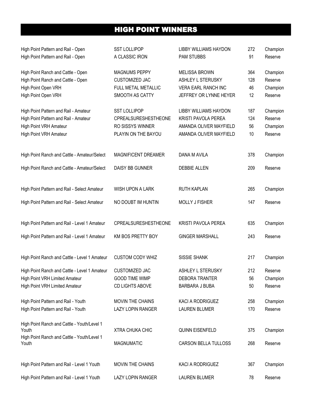### HIGH POINT WINNERS

| High Point Pattern and Rail - Open<br>High Point Pattern and Rail - Open | <b>SST LOLLIPOP</b><br>A CLASSIC IRON | LIBBY WILLIAMS HAYDON<br><b>PAM STUBBS</b> | 272<br>91 | Champion<br>Reserve |
|--------------------------------------------------------------------------|---------------------------------------|--------------------------------------------|-----------|---------------------|
| High Point Ranch and Cattle - Open                                       | <b>MAGNUMS PEPPY</b>                  | <b>MELISSA BROWN</b>                       | 364       | Champion            |
| High Point Ranch and Cattle - Open                                       | <b>CUSTOMIZED JAC</b>                 | ASHLEY L STERUSKY                          | 128       | Reserve             |
| High Point Open VRH                                                      | FULL METAL METALLIC                   | VERA EARL RANCH INC                        | 46        | Champion            |
| High Point Open VRH                                                      | SMOOTH AS CATTY                       | JEFFREY OR LYNNE HEYER                     | 12        | Reserve             |
| High Point Pattern and Rail - Amateur                                    | <b>SST LOLLIPOP</b>                   | LIBBY WILLIAMS HAYDON                      | 187       | Champion            |
| High Point Pattern and Rail - Amateur                                    | CPREALSURESHESTHEONE                  | <b>KRISTI PAVOLA PEREA</b>                 | 124       | Reserve             |
| High Point VRH Amateur                                                   | RO SISSYS WINNER                      | AMANDA OLIVER MAYFIELD                     | 56        | Champion            |
| High Point VRH Amateur                                                   | PLAYIN ON THE BAYOU                   | AMANDA OLIVER MAYFIELD                     | 10        | Reserve             |
| High Point Ranch and Cattle - Amateur/Select                             | MAGNIFICENT DREAMER                   | DANA M AVILA                               | 378       | Champion            |
| High Point Ranch and Cattle - Amateur/Select                             | DAISY BB GUNNER                       | <b>DEBBIE ALLEN</b>                        | 209       | Reserve             |
|                                                                          |                                       |                                            |           |                     |
| High Point Pattern and Rail - Select Amateur                             | WISH UPON A LARK                      | <b>RUTH KAPLAN</b>                         | 265       | Champion            |
| High Point Pattern and Rail - Select Amateur                             | NO DOUBT IM HUNTIN                    | MOLLY J FISHER                             | 147       | Reserve             |
| High Point Pattern and Rail - Level 1 Amateur                            | CPREALSURESHESTHEONE                  | KRISTI PAVOLA PEREA                        | 635       | Champion            |
| High Point Pattern and Rail - Level 1 Amateur                            | KM BOS PRETTY BOY                     | <b>GINGER MARSHALL</b>                     | 243       | Reserve             |
|                                                                          |                                       |                                            |           |                     |
| High Point Ranch and Cattle - Level 1 Amateur                            | <b>CUSTOM CODY WHIZ</b>               | SISSIE SHANK                               | 217       | Champion            |
| High Point Ranch and Cattle - Level 1 Amateur                            | CUSTOMIZED JAC                        | ASHLEY L STERUSKY                          | 212       | Reserve             |
| High Point VRH Limited Amateur                                           | <b>GOOD TIME WIMP</b>                 | <b>DEBORA TRANTER</b>                      | 56        | Champion            |
| High Point VRH Limited Amateur                                           | CD LIGHTS ABOVE                       | <b>BARBARA J BUBA</b>                      | 50        | Reserve             |
| High Point Pattern and Rail - Youth                                      | <b>MOVIN THE CHAINS</b>               | KACI A RODRIGUEZ                           | 258       | Champion            |
| High Point Pattern and Rail - Youth                                      | <b>LAZY LOPIN RANGER</b>              | <b>LAUREN BLUMER</b>                       | 170       | Reserve             |
| High Point Ranch and Cattle - Youth/Level 1                              |                                       |                                            |           |                     |
| Youth<br>High Point Ranch and Cattle - Youth/Level 1                     | <b>XTRA CHUKA CHIC</b>                | <b>QUINN EISENFELD</b>                     | 375       | Champion            |
| Youth                                                                    | <b>MAGNUMATIC</b>                     | CARSON BELLA TULLOSS                       | 268       | Reserve             |
|                                                                          |                                       |                                            |           |                     |
| High Point Pattern and Rail - Level 1 Youth                              | <b>MOVIN THE CHAINS</b>               | KACI A RODRIGUEZ                           | 367       | Champion            |
| High Point Pattern and Rail - Level 1 Youth                              | <b>LAZY LOPIN RANGER</b>              | <b>LAUREN BLUMER</b>                       | 78        | Reserve             |